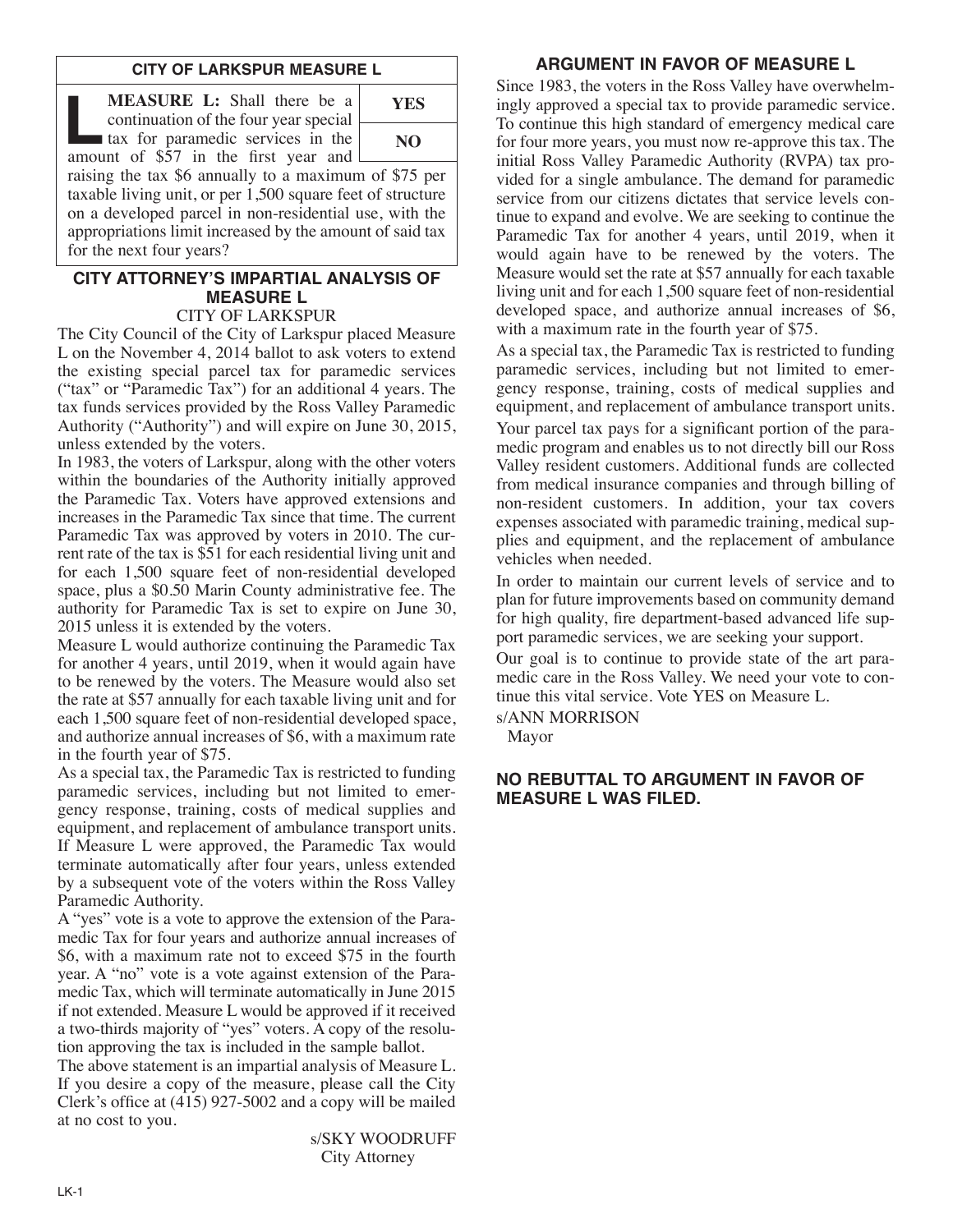#### **CITY OF LARKSPUR MEASURE L**

**L:** Shall there be a continuation of the four year special<br>tax for paramedic services in the<br>amount of \$57 in the first year and continuation of the four year special tax for paramedic services in the amount of \$57 in the first year and raising the tax \$6 annually to a maximum of \$75 per taxable living unit, or per 1,500 square feet of structure **YES NO**

on a developed parcel in non-residential use, with the appropriations limit increased by the amount of said tax for the next four years?

# **CITY ATTORNEY'S IMPARTIAL ANALYSIS OF MEASURE L**

CITY OF LARKSPUR

The City Council of the City of Larkspur placed Measure L on the November 4, 2014 ballot to ask voters to extend the existing special parcel tax for paramedic services ("tax" or "Paramedic Tax") for an additional 4 years. The tax funds services provided by the Ross Valley Paramedic Authority ("Authority") and will expire on June 30, 2015, unless extended by the voters.

In 1983, the voters of Larkspur, along with the other voters within the boundaries of the Authority initially approved the Paramedic Tax. Voters have approved extensions and increases in the Paramedic Tax since that time. The current Paramedic Tax was approved by voters in 2010. The current rate of the tax is \$51 for each residential living unit and for each 1,500 square feet of non-residential developed space, plus a \$0.50 Marin County administrative fee. The authority for Paramedic Tax is set to expire on June 30, 2015 unless it is extended by the voters.

Measure L would authorize continuing the Paramedic Tax for another 4 years, until 2019, when it would again have to be renewed by the voters. The Measure would also set the rate at \$57 annually for each taxable living unit and for each 1,500 square feet of non-residential developed space, and authorize annual increases of \$6, with a maximum rate in the fourth year of \$75.

As a special tax, the Paramedic Tax is restricted to funding paramedic services, including but not limited to emergency response, training, costs of medical supplies and equipment, and replacement of ambulance transport units. If Measure L were approved, the Paramedic Tax would terminate automatically after four years, unless extended by a subsequent vote of the voters within the Ross Valley Paramedic Authority.

A "yes" vote is a vote to approve the extension of the Paramedic Tax for four years and authorize annual increases of \$6, with a maximum rate not to exceed \$75 in the fourth year. A "no" vote is a vote against extension of the Paramedic Tax, which will terminate automatically in June 2015 if not extended. Measure L would be approved if it received a two-thirds majority of "yes" voters. A copy of the resolution approving the tax is included in the sample ballot.

The above statement is an impartial analysis of Measure L. If you desire a copy of the measure, please call the City Clerk's office at (415) 927-5002 and a copy will be mailed at no cost to you.

> s/SKY WOODRUFF City Attorney

### **ARGUMENT IN FAVOR OF MEASURE L**

Since 1983, the voters in the Ross Valley have overwhelmingly approved a special tax to provide paramedic service. To continue this high standard of emergency medical care for four more years, you must now re-approve this tax. The initial Ross Valley Paramedic Authority (RVPA) tax provided for a single ambulance. The demand for paramedic service from our citizens dictates that service levels continue to expand and evolve. We are seeking to continue the Paramedic Tax for another 4 years, until 2019, when it would again have to be renewed by the voters. The Measure would set the rate at \$57 annually for each taxable living unit and for each 1,500 square feet of non-residential developed space, and authorize annual increases of \$6, with a maximum rate in the fourth year of \$75.

As a special tax, the Paramedic Tax is restricted to funding paramedic services, including but not limited to emergency response, training, costs of medical supplies and equipment, and replacement of ambulance transport units.

Your parcel tax pays for a significant portion of the paramedic program and enables us to not directly bill our Ross Valley resident customers. Additional funds are collected from medical insurance companies and through billing of non-resident customers. In addition, your tax covers expenses associated with paramedic training, medical supplies and equipment, and the replacement of ambulance vehicles when needed.

In order to maintain our current levels of service and to plan for future improvements based on community demand for high quality, fire department-based advanced life support paramedic services, we are seeking your support.

Our goal is to continue to provide state of the art paramedic care in the Ross Valley. We need your vote to continue this vital service. Vote YES on Measure L.

s/ANN MORRISON

Mayor

#### **NO REBUTTAL TO ARGUMENT IN FAVOR OF MEASURE L WAS FILED.**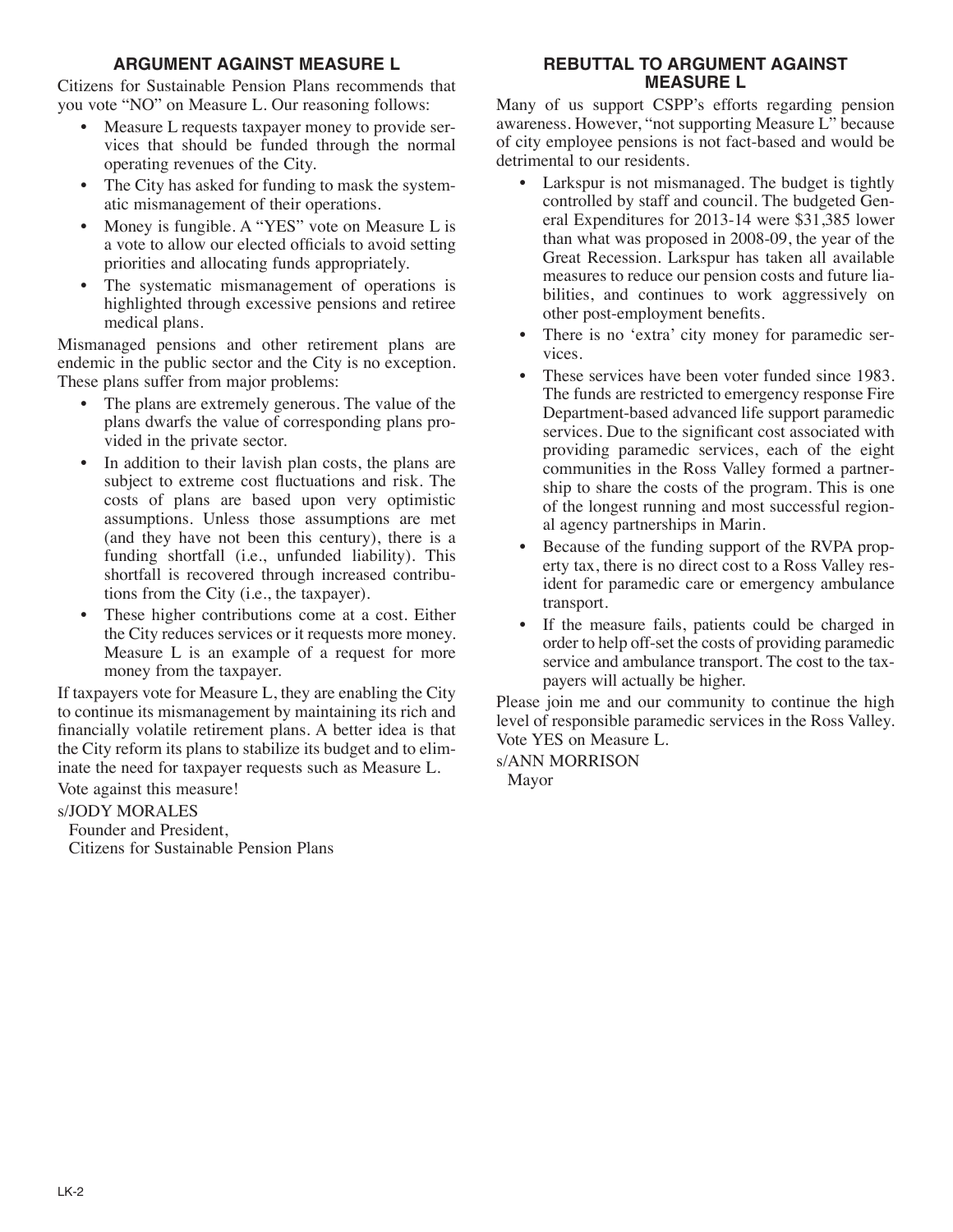## **ARGUMENT AGAINST MEASURE L**

Citizens for Sustainable Pension Plans recommends that you vote "NO" on Measure L. Our reasoning follows:

- Measure L requests taxpayer money to provide services that should be funded through the normal operating revenues of the City.
- The City has asked for funding to mask the systematic mismanagement of their operations.
- Money is fungible. A "YES" vote on Measure L is a vote to allow our elected officials to avoid setting priorities and allocating funds appropriately.
- The systematic mismanagement of operations is highlighted through excessive pensions and retiree medical plans.

Mismanaged pensions and other retirement plans are endemic in the public sector and the City is no exception. These plans suffer from major problems:

- The plans are extremely generous. The value of the plans dwarfs the value of corresponding plans provided in the private sector.
- In addition to their lavish plan costs, the plans are subject to extreme cost fluctuations and risk. The costs of plans are based upon very optimistic assumptions. Unless those assumptions are met (and they have not been this century), there is a funding shortfall (i.e., unfunded liability). This shortfall is recovered through increased contributions from the City (i.e., the taxpayer).
- These higher contributions come at a cost. Either the City reduces services or it requests more money. Measure L is an example of a request for more money from the taxpayer.

If taxpayers vote for Measure L, they are enabling the City to continue its mismanagement by maintaining its rich and financially volatile retirement plans. A better idea is that the City reform its plans to stabilize its budget and to eliminate the need for taxpayer requests such as Measure L.

Vote against this measure!

s/JODY MORALES Founder and President, Citizens for Sustainable Pension Plans

## **REBUTTAL TO ARGUMENT AGAINST MEASURE L**

Many of us support CSPP's efforts regarding pension awareness. However, "not supporting Measure L" because of city employee pensions is not fact-based and would be detrimental to our residents.

- Larkspur is not mismanaged. The budget is tightly controlled by staff and council. The budgeted General Expenditures for 2013-14 were \$31,385 lower than what was proposed in 2008-09, the year of the Great Recession. Larkspur has taken all available measures to reduce our pension costs and future liabilities, and continues to work aggressively on other post-employment benefits.
- There is no 'extra' city money for paramedic services.
- These services have been voter funded since 1983. The funds are restricted to emergency response Fire Department-based advanced life support paramedic services. Due to the significant cost associated with providing paramedic services, each of the eight communities in the Ross Valley formed a partnership to share the costs of the program. This is one of the longest running and most successful regional agency partnerships in Marin.
- Because of the funding support of the RVPA property tax, there is no direct cost to a Ross Valley resident for paramedic care or emergency ambulance transport.
- If the measure fails, patients could be charged in order to help off-set the costs of providing paramedic service and ambulance transport. The cost to the taxpayers will actually be higher.

Please join me and our community to continue the high level of responsible paramedic services in the Ross Valley. Vote YES on Measure L.

s/ANN MORRISON Mayor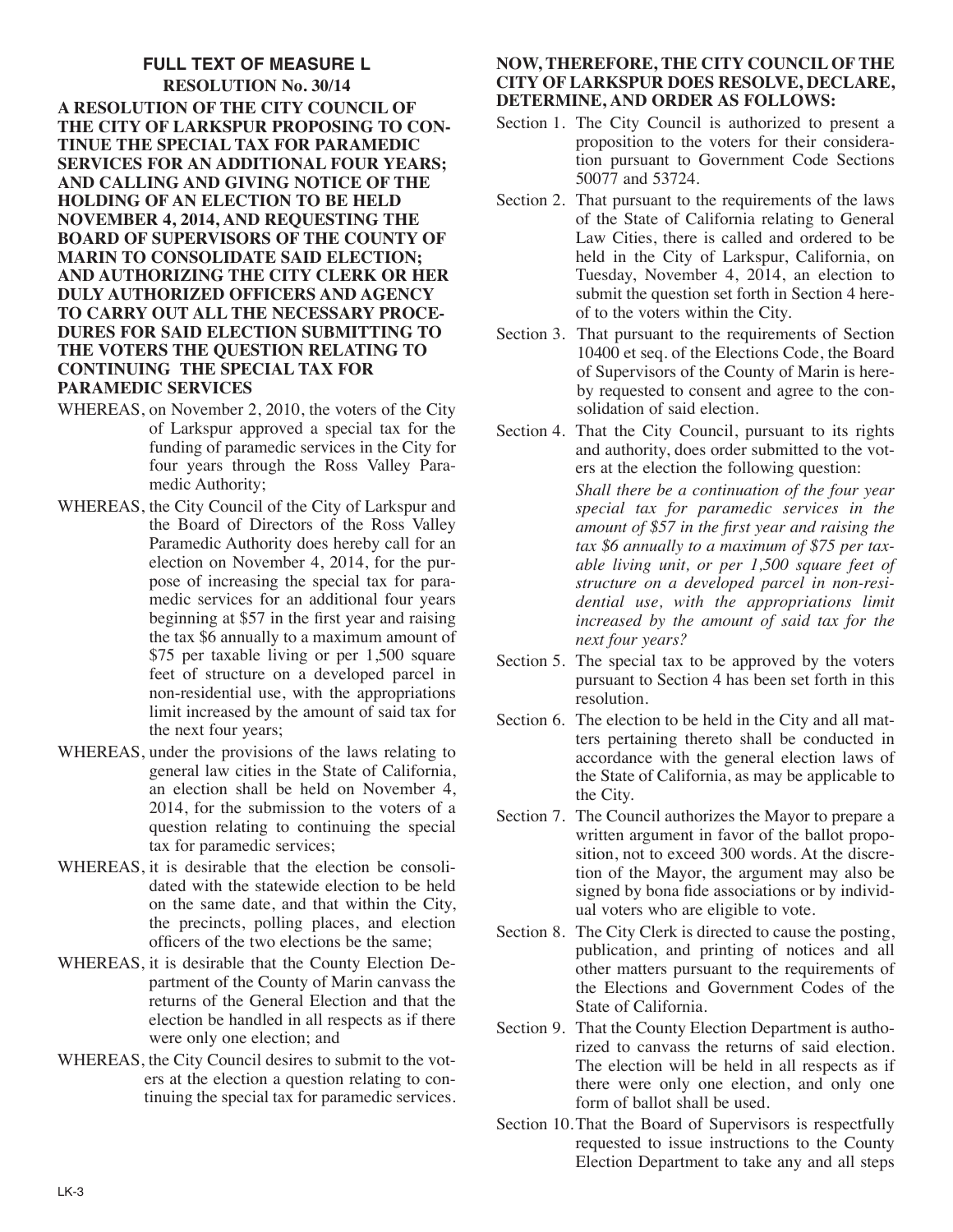### **FULL TEXT OF MEASURE L RESOLUTION No. 30/14 A RESOLUTION OF THE CITY COUNCIL OF THE CITY OF LARKSPUR PROPOSING TO CON-TINUE THE SPECIAL TAX FOR PARAMEDIC SERVICES FOR AN ADDITIONAL FOUR YEARS; AND CALLING AND GIVING NOTICE OF THE HOLDING OF AN ELECTION TO BE HELD NOVEMBER 4, 2014, AND REQUESTING THE BOARD OF SUPERVISORS OF THE COUNTY OF MARIN TO CONSOLIDATE SAID ELECTION; AND AUTHORIZING THE CITY CLERK OR HER DULY AUTHORIZED OFFICERS AND AGENCY TO CARRY OUT ALL THE NECESSARY PROCE-DURES FOR SAID ELECTION SUBMITTING TO THE VOTERS THE QUESTION RELATING TO CONTINUING THE SPECIAL TAX FOR PARAMEDIC SERVICES**

- WHEREAS, on November 2, 2010, the voters of the City of Larkspur approved a special tax for the funding of paramedic services in the City for four years through the Ross Valley Paramedic Authority;
- WHEREAS, the City Council of the City of Larkspur and the Board of Directors of the Ross Valley Paramedic Authority does hereby call for an election on November 4, 2014, for the purpose of increasing the special tax for paramedic services for an additional four years beginning at \$57 in the first year and raising the tax \$6 annually to a maximum amount of \$75 per taxable living or per 1,500 square feet of structure on a developed parcel in non-residential use, with the appropriations limit increased by the amount of said tax for the next four years;
- WHEREAS, under the provisions of the laws relating to general law cities in the State of California, an election shall be held on November 4, 2014, for the submission to the voters of a question relating to continuing the special tax for paramedic services;
- WHEREAS, it is desirable that the election be consolidated with the statewide election to be held on the same date, and that within the City, the precincts, polling places, and election officers of the two elections be the same;
- WHEREAS, it is desirable that the County Election Department of the County of Marin canvass the returns of the General Election and that the election be handled in all respects as if there were only one election; and
- WHEREAS, the City Council desires to submit to the voters at the election a question relating to continuing the special tax for paramedic services.

### **NOW, THEREFORE, THE CITY COUNCIL OF THE CITY OF LARKSPUR DOES RESOLVE, DECLARE, DETERMINE, AND ORDER AS FOLLOWS:**

- Section 1. The City Council is authorized to present a proposition to the voters for their consideration pursuant to Government Code Sections 50077 and 53724.
- Section 2. That pursuant to the requirements of the laws of the State of California relating to General Law Cities, there is called and ordered to be held in the City of Larkspur, California, on Tuesday, November 4, 2014, an election to submit the question set forth in Section 4 hereof to the voters within the City.
- Section 3. That pursuant to the requirements of Section 10400 et seq. of the Elections Code, the Board of Supervisors of the County of Marin is hereby requested to consent and agree to the consolidation of said election.
- Section 4. That the City Council, pursuant to its rights and authority, does order submitted to the voters at the election the following question:

*Shall there be a continuation of the four year special tax for paramedic services in the amount of \$57 in the first year and raising the tax \$6 annually to a maximum of \$75 per taxable living unit, or per 1,500 square feet of structure on a developed parcel in non-residential use, with the appropriations limit increased by the amount of said tax for the next four years?*

- Section 5. The special tax to be approved by the voters pursuant to Section 4 has been set forth in this resolution.
- Section 6. The election to be held in the City and all matters pertaining thereto shall be conducted in accordance with the general election laws of the State of California, as may be applicable to the City.
- Section 7. The Council authorizes the Mayor to prepare a written argument in favor of the ballot proposition, not to exceed 300 words. At the discretion of the Mayor, the argument may also be signed by bona fide associations or by individual voters who are eligible to vote.
- Section 8. The City Clerk is directed to cause the posting, publication, and printing of notices and all other matters pursuant to the requirements of the Elections and Government Codes of the State of California.
- Section 9. That the County Election Department is authorized to canvass the returns of said election. The election will be held in all respects as if there were only one election, and only one form of ballot shall be used.
- Section 10.That the Board of Supervisors is respectfully requested to issue instructions to the County Election Department to take any and all steps